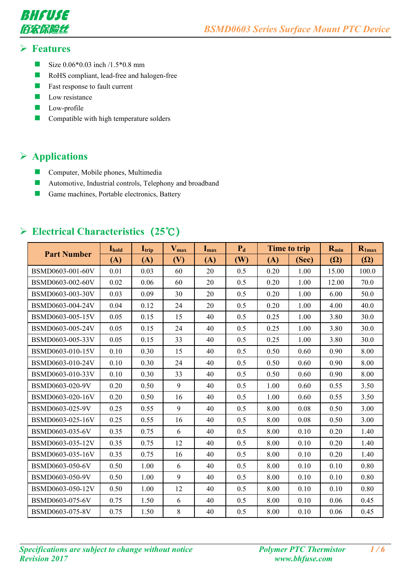



#### **Features**

- Size  $0.06*0.03$  inch  $/1.5*0.8$  mm
- **RoHS** compliant, lead-free and halogen-free
- $\blacksquare$  Fast response to fault current
- $\Box$  Low resistance
- **Low-profile**
- **Compatible with high temperature solders**

## **Applications**

- **Computer, Mobile phones, Multimedia**
- **Automotive, Industrial controls, Telephony and broadband**
- Game machines, Portable electronics, Battery

|                    | Ihold | $\mathbf{I}_{\text{trip}}$ | $V_{\text{max}}$ | Imax | $P_d$ |      | Time to trip | $R_{min}$  | $R_{1max}$ |
|--------------------|-------|----------------------------|------------------|------|-------|------|--------------|------------|------------|
| <b>Part Number</b> | (A)   | (A)                        | (V)              | (A)  | (W)   | (A)  | (Sec)        | $(\Omega)$ | $(\Omega)$ |
| BSMD0603-001-60V   | 0.01  | 0.03                       | 60               | 20   | 0.5   | 0.20 | 1.00         | 15.00      | 100.0      |
| BSMD0603-002-60V   | 0.02  | 0.06                       | 60               | 20   | 0.5   | 0.20 | 1.00         | 12.00      | 70.0       |
| BSMD0603-003-30V   | 0.03  | 0.09                       | 30               | 20   | 0.5   | 0.20 | 1.00         | 6.00       | 50.0       |
| BSMD0603-004-24V   | 0.04  | 0.12                       | 24               | 20   | 0.5   | 0.20 | 1.00         | 4.00       | 40.0       |
| BSMD0603-005-15V   | 0.05  | 0.15                       | 15               | 40   | 0.5   | 0.25 | 1.00         | 3.80       | 30.0       |
| BSMD0603-005-24V   | 0.05  | 0.15                       | 24               | 40   | 0.5   | 0.25 | 1.00         | 3.80       | 30.0       |
| BSMD0603-005-33V   | 0.05  | 0.15                       | 33               | 40   | 0.5   | 0.25 | 1.00         | 3.80       | 30.0       |
| BSMD0603-010-15V   | 0.10  | 0.30                       | 15               | 40   | 0.5   | 0.50 | 0.60         | 0.90       | 8.00       |
| BSMD0603-010-24V   | 0.10  | 0.30                       | 24               | 40   | 0.5   | 0.50 | 0.60         | 0.90       | 8.00       |
| BSMD0603-010-33V   | 0.10  | 0.30                       | 33               | 40   | 0.5   | 0.50 | 0.60         | 0.90       | 8.00       |
| BSMD0603-020-9V    | 0.20  | 0.50                       | 9                | 40   | 0.5   | 1.00 | 0.60         | 0.55       | 3.50       |
| BSMD0603-020-16V   | 0.20  | 0.50                       | 16               | 40   | 0.5   | 1.00 | 0.60         | 0.55       | 3.50       |
| BSMD0603-025-9V    | 0.25  | 0.55                       | 9                | 40   | 0.5   | 8.00 | 0.08         | 0.50       | 3.00       |
| BSMD0603-025-16V   | 0.25  | 0.55                       | 16               | 40   | 0.5   | 8.00 | 0.08         | 0.50       | 3.00       |
| BSMD0603-035-6V    | 0.35  | 0.75                       | 6                | 40   | 0.5   | 8.00 | 0.10         | 0.20       | 1.40       |
| BSMD0603-035-12V   | 0.35  | 0.75                       | 12               | 40   | 0.5   | 8.00 | 0.10         | 0.20       | 1.40       |
| BSMD0603-035-16V   | 0.35  | 0.75                       | 16               | 40   | 0.5   | 8.00 | 0.10         | 0.20       | 1.40       |
| BSMD0603-050-6V    | 0.50  | 1.00                       | 6                | 40   | 0.5   | 8.00 | 0.10         | 0.10       | 0.80       |
| BSMD0603-050-9V    | 0.50  | 1.00                       | 9                | 40   | 0.5   | 8.00 | 0.10         | 0.10       | 0.80       |
| BSMD0603-050-12V   | 0.50  | 1.00                       | 12               | 40   | 0.5   | 8.00 | 0.10         | 0.10       | 0.80       |
| BSMD0603-075-6V    | 0.75  | 1.50                       | 6                | 40   | 0.5   | 8.00 | 0.10         | 0.06       | 0.45       |
| BSMD0603-075-8V    | 0.75  | 1.50                       | 8                | 40   | 0.5   | 8.00 | 0.10         | 0.06       | 0.45       |

# **Electrical Characteristics(25℃)**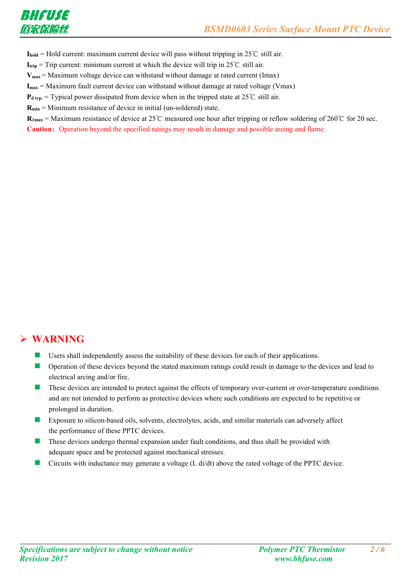

 $I_{\text{hold}}$  = Hold current: maximum current device will pass without tripping in 25°C still air.

**I**<sub>trip</sub> = Trip current: minimum current at which the device will trip in 25°C still air.

 $V_{\text{max}}$  = Maximum voltage device can withstand without damage at rated current (Imax)

**Imax** = Maximum fault current device can withstand without damage at rated voltage (Vmax)

 $P_{d \text{ typ.}}$  = Typical power dissipated from device when in the tripped state at 25°C still air.

**Rmin** = Minimum resistance of device in initial (un-soldered) state.

 $$ **Caution:** Operation beyond the specified ratings may result in damage and possible arcing and flame.

#### **WARNING**

- Users shall independently assess the suitability of these devices for each of their applications.
- Operation of these devices beyond the stated maximum ratings could result in damage to the devices and lead to electrical arcing and/or fire.
- These devices are intended to protect against the effects of temporary over-current or over-temperature conditions and are not intended to perform as protective devices where such conditions are expected to be repetitive or prolonged in duration.
- Exposure to silicon-based oils, solvents, electrolytes, acids, and similar materials can adversely affect the performance of these PPTC devices.
- $\blacksquare$  These devices undergo thermal expansion under fault conditions, and thus shall be provided with adequate space and be protected against mechanical stresses.
- Circuits with inductance may generate a voltage (L di/dt) above the rated voltage of the PPTC device.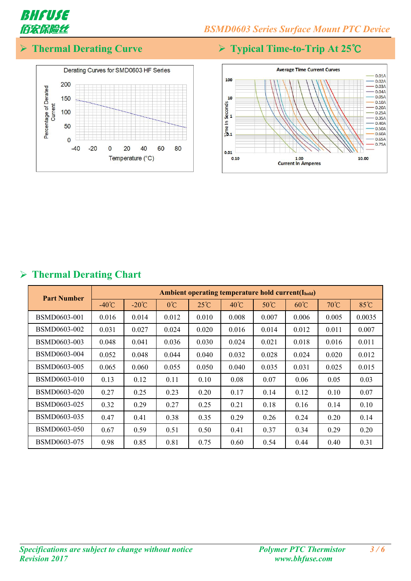

**Thermal Derating Curve Typical Time-to-Trip At 25℃**





| <b>Part Number</b>  |                 | Ambient operating temperature hold current(I <sub>hold</sub> ) |              |                |                |                |                |       |        |
|---------------------|-----------------|----------------------------------------------------------------|--------------|----------------|----------------|----------------|----------------|-------|--------|
|                     | $-40^{\circ}$ C | $-20^{\circ}C$                                                 | $0^{\circ}C$ | $25^{\circ}$ C | $40^{\circ}$ C | $50^{\circ}$ C | $60^{\circ}$ C | 70°C  | 85°C   |
| <b>BSMD0603-001</b> | 0.016           | 0.014                                                          | 0.012        | 0.010          | 0.008          | 0.007          | 0.006          | 0.005 | 0.0035 |
| BSMD0603-002        | 0.031           | 0.027                                                          | 0.024        | 0.020          | 0.016          | 0.014          | 0.012          | 0.011 | 0.007  |
| BSMD0603-003        | 0.048           | 0.041                                                          | 0.036        | 0.030          | 0.024          | 0.021          | 0.018          | 0.016 | 0.011  |
| BSMD0603-004        | 0.052           | 0.048                                                          | 0.044        | 0.040          | 0.032          | 0.028          | 0.024          | 0.020 | 0.012  |
| BSMD0603-005        | 0.065           | 0.060                                                          | 0.055        | 0.050          | 0.040          | 0.035          | 0.031          | 0.025 | 0.015  |
| BSMD0603-010        | 0.13            | 0.12                                                           | 0.11         | 0.10           | 0.08           | 0.07           | 0.06           | 0.05  | 0.03   |
| BSMD0603-020        | 0.27            | 0.25                                                           | 0.23         | 0.20           | 0.17           | 0.14           | 0.12           | 0.10  | 0.07   |
| BSMD0603-025        | 0.32            | 0.29                                                           | 0.27         | 0.25           | 0.21           | 0.18           | 0.16           | 0.14  | 0.10   |
| BSMD0603-035        | 0.47            | 0.41                                                           | 0.38         | 0.35           | 0.29           | 0.26           | 0.24           | 0.20  | 0.14   |
| <b>BSMD0603-050</b> | 0.67            | 0.59                                                           | 0.51         | 0.50           | 0.41           | 0.37           | 0.34           | 0.29  | 0.20   |
| BSMD0603-075        | 0.98            | 0.85                                                           | 0.81         | 0.75           | 0.60           | 0.54           | 0.44           | 0.40  | 0.31   |

#### **Thermal Derating Chart**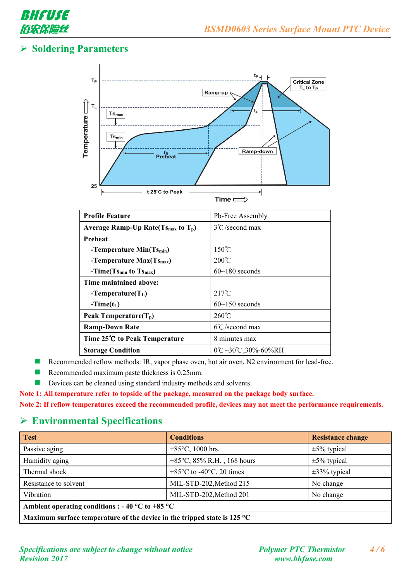

## **Soldering Parameters**



| <b>Profile Feature</b>                              | Pb-Free Assembly                             |
|-----------------------------------------------------|----------------------------------------------|
| Average Ramp-Up Rate $(T_{\text{Smax}})$ to $T_p$ ) | $3^{\circ}$ C/second max                     |
| Preheat                                             |                                              |
| -Temperature Min(Ts <sub>min</sub> )                | $150^{\circ}$ C                              |
| -Temperature $Max(Ts_{max})$                        | $200^{\circ}$ C                              |
| $-Time(Ts_{min}$ to $Ts_{max})$                     | $60~180$ seconds                             |
| Time maintained above:                              |                                              |
| $-Temperature(TL)$                                  | $217^{\circ}$ C                              |
| $-Time(t_L)$                                        | $60$ ~150 seconds                            |
| Peak Temperature $(T_p)$                            | $260^{\circ}$ C                              |
| <b>Ramp-Down Rate</b>                               | $6^{\circ}$ C/second max                     |
| Time 25°C to Peak Temperature                       | 8 minutes max                                |
| <b>Storage Condition</b>                            | $0^{\circ}C - 30^{\circ}C$ , $30\% - 60\%RH$ |

Recommended reflow methods: IR, vapor phase oven, hot air oven, N2 environment for lead-free.

- Recommended maximum paste thickness is 0.25mm.
- Devices can be cleaned using standard industry methods and solvents.

**Note 1: All temperature refer to topside of the package, measured on the package body surface.**

**Note 2: Ifreflow temperatures exceed the recommended profile, devices may not meet the performance requirements.**

#### **Environmental Specifications**

| <b>Test</b>                                                                        | <b>Conditions</b>                             | <b>Resistance change</b> |
|------------------------------------------------------------------------------------|-----------------------------------------------|--------------------------|
| Passive aging                                                                      | +85 $\degree$ C, 1000 hrs.                    | $\pm 5\%$ typical        |
| Humidity aging                                                                     | +85 $\degree$ C, 85% R.H., 168 hours          | $\pm 5\%$ typical        |
| Thermal shock                                                                      | $+85^{\circ}$ C to -40 $^{\circ}$ C, 20 times | $\pm 33\%$ typical       |
| Resistance to solvent                                                              | MIL-STD-202, Method 215                       | No change                |
| Vibration                                                                          | MIL-STD-202, Method 201                       | No change                |
| Ambient operating conditions : - 40 °C to +85 °C                                   |                                               |                          |
| Maximum surface temperature of the device in the tripped state is 125 $^{\circ}$ C |                                               |                          |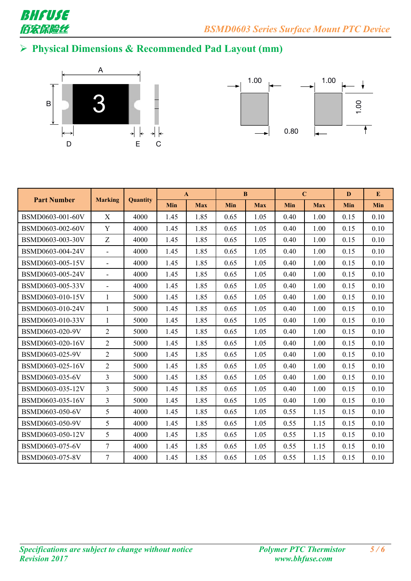

# **Physical Dimensions & Recommended Pad Layout (mm)**





|                    |                          |          |      | $\mathbf{A}$ |            | $\bf{B}$   |      | $\mathbf C$ | D          | ${\bf E}$  |
|--------------------|--------------------------|----------|------|--------------|------------|------------|------|-------------|------------|------------|
| <b>Part Number</b> | <b>Marking</b>           | Quantity | Min  | <b>Max</b>   | <b>Min</b> | <b>Max</b> | Min  | <b>Max</b>  | <b>Min</b> | <b>Min</b> |
| BSMD0603-001-60V   | X                        | 4000     | 1.45 | 1.85         | 0.65       | 1.05       | 0.40 | 1.00        | 0.15       | 0.10       |
| BSMD0603-002-60V   | Y                        | 4000     | 1.45 | 1.85         | 0.65       | 1.05       | 0.40 | 1.00        | 0.15       | 0.10       |
| BSMD0603-003-30V   | Z                        | 4000     | 1.45 | 1.85         | 0.65       | 1.05       | 0.40 | 1.00        | 0.15       | 0.10       |
| BSMD0603-004-24V   | $\overline{\phantom{a}}$ | 4000     | 1.45 | 1.85         | 0.65       | 1.05       | 0.40 | 1.00        | 0.15       | 0.10       |
| BSMD0603-005-15V   | $\overline{\phantom{a}}$ | 4000     | 1.45 | 1.85         | 0.65       | 1.05       | 0.40 | 1.00        | 0.15       | 0.10       |
| BSMD0603-005-24V   | $\blacksquare$           | 4000     | 1.45 | 1.85         | 0.65       | 1.05       | 0.40 | 1.00        | 0.15       | 0.10       |
| BSMD0603-005-33V   | $\blacksquare$           | 4000     | 1.45 | 1.85         | 0.65       | 1.05       | 0.40 | 1.00        | 0.15       | 0.10       |
| BSMD0603-010-15V   | $\mathbf{1}$             | 5000     | 1.45 | 1.85         | 0.65       | 1.05       | 0.40 | 1.00        | 0.15       | 0.10       |
| BSMD0603-010-24V   | $\mathbf{1}$             | 5000     | 1.45 | 1.85         | 0.65       | 1.05       | 0.40 | 1.00        | 0.15       | 0.10       |
| BSMD0603-010-33V   | $\mathbf{1}$             | 5000     | 1.45 | 1.85         | 0.65       | 1.05       | 0.40 | 1.00        | 0.15       | 0.10       |
| BSMD0603-020-9V    | 2                        | 5000     | 1.45 | 1.85         | 0.65       | 1.05       | 0.40 | 1.00        | 0.15       | 0.10       |
| BSMD0603-020-16V   | $\overline{2}$           | 5000     | 1.45 | 1.85         | 0.65       | 1.05       | 0.40 | 1.00        | 0.15       | 0.10       |
| BSMD0603-025-9V    | $\overline{2}$           | 5000     | 1.45 | 1.85         | 0.65       | 1.05       | 0.40 | 1.00        | 0.15       | 0.10       |
| BSMD0603-025-16V   | $\overline{2}$           | 5000     | 1.45 | 1.85         | 0.65       | 1.05       | 0.40 | 1.00        | 0.15       | 0.10       |
| BSMD0603-035-6V    | $\overline{3}$           | 5000     | 1.45 | 1.85         | 0.65       | 1.05       | 0.40 | 1.00        | 0.15       | 0.10       |
| BSMD0603-035-12V   | $\overline{3}$           | 5000     | 1.45 | 1.85         | 0.65       | 1.05       | 0.40 | 1.00        | 0.15       | 0.10       |
| BSMD0603-035-16V   | $\overline{3}$           | 5000     | 1.45 | 1.85         | 0.65       | 1.05       | 0.40 | 1.00        | 0.15       | 0.10       |
| BSMD0603-050-6V    | 5                        | 4000     | 1.45 | 1.85         | 0.65       | 1.05       | 0.55 | 1.15        | 0.15       | 0.10       |
| BSMD0603-050-9V    | 5                        | 4000     | 1.45 | 1.85         | 0.65       | 1.05       | 0.55 | 1.15        | 0.15       | 0.10       |
| BSMD0603-050-12V   | 5                        | 4000     | 1.45 | 1.85         | 0.65       | 1.05       | 0.55 | 1.15        | 0.15       | 0.10       |
| BSMD0603-075-6V    | $\overline{7}$           | 4000     | 1.45 | 1.85         | 0.65       | 1.05       | 0.55 | 1.15        | 0.15       | 0.10       |
| BSMD0603-075-8V    | $\overline{7}$           | 4000     | 1.45 | 1.85         | 0.65       | 1.05       | 0.55 | 1.15        | 0.15       | 0.10       |